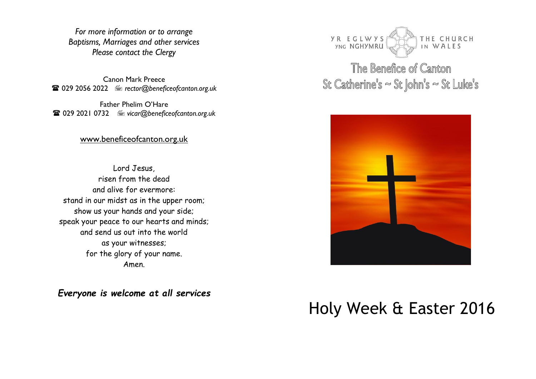*For more information or to arrange Baptisms, Marriages and other services Please contact the Clergy*

Canon Mark Preece 029 2056 2022 *rector@beneficeofcanton.org.uk*

Father Phelim O'Hare 029 2021 0732 *vicar@beneficeofcanton.org.uk*

[www.beneficeofcanton.org.uk](http://www.beneficeofcanton.org.uk/)

Lord Jesus, risen from the dead and alive for evermore: stand in our midst as in the upper room; show us your hands and your side; speak your peace to our hearts and minds; and send us out into the world as your witnesses; for the glory of your name. Amen.

*Everyone is welcome at all services*



The Benefice of Canton St Catherine's  $\sim$  St John's  $\sim$  St Luke's



# Holy Week & Easter 2016